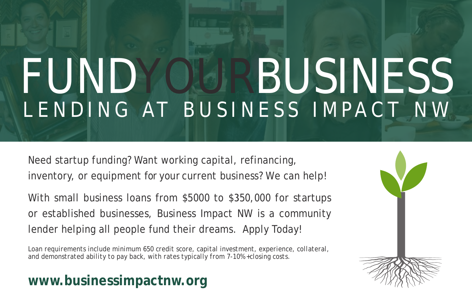# FUNDYOURBUSINESS LENDING AT BUSINESS IMPACT NW

Need startup funding? Want working capital, refinancing, inventory, or equipment for your current business? We can help!

With small business loans from \$5000 to \$350,000 for startups or established businesses, Business Impact NW is a community lender helping all people fund their dreams. Apply Today!

*Loan requirements include minimum 650 credit score, capital investment, experience, collateral, and demonstrated ability to pay back, with rates typically from 7-10% +closing costs.*

# **www.businessimpactnw.org**